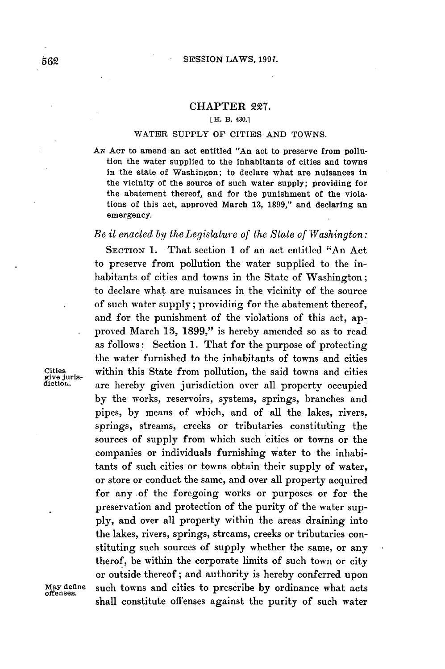## CHAPTER **227.**

## **[H. B. 430.1**

## **WATER SUPPLY OF CITIES AND TOWNS.**

**AN ACT** to amend an act entitled "An act to preserve from pollution the water supplied to the inhabitants of cities and towns in the state of Washingon; to declare what are nuisances in the vicinity of the source of such water supply; providing for the abatement thereof, and for the punishment of the violations of this act, approved March **13, 1899,"** and declaring an emergency.

## *Be it enacted by the Legislature of the State of Washington:*

**SECTION 1.** That section 1 of an act entitled "An Act to preserve from pollution the water supplied to the inhabitants of cities and towns in the State of Washington; to declare what are nuisances in the vicinity of the source of such water supply; providing for the abatement thereof, and for the punishment of the violations of this act, approved March **13, 1899,"** is hereby amended so as to read as follows: Section **1.** That for the purpose of protecting the water furnished to the inhabitants of towns and cities **Cities** within this State from pollution, the said towns and cities **give** Juris- **dictior.-** are hereby given jurisdiction over all property occupied **by** the works, reservoirs, systems, springs, branches and pipes, **by** means of which, and of all the lakes, rivers, springs, streams, creeks or tributaries constituting the sources of supply from which such cities or towns or the companies or individuals furnishing water to the inhabitants of such cities or towns obtain their supply of water, or store or conduct the same, and over all property acquired for any of the foregoing works or purposes or for the preservation and protection of the purity of the water sup**ply,** and over all property within the areas draining into the lakes, rivers, springs, streams, creeks or tributaries constituting such sources of supply whether the same, or any therof, be within the corporate limits of such town or city or outside thereof **;** and authority is hereby conferred upon **May define** such towns and cities to prescribe **by** ordinance what acts **offenses.** shall constitute offenses against the purity of such water